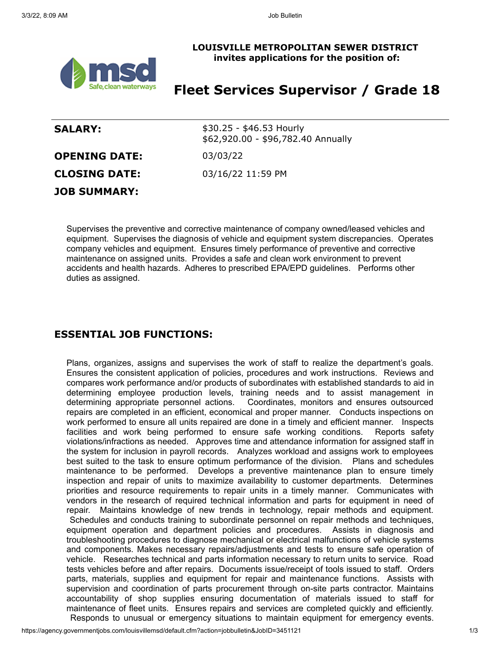

#### **LOUISVILLE METROPOLITAN SEWER DISTRICT invites applications for the position of:**

# **Fleet Services Supervisor / Grade 18**

| <b>SALARY:</b>       | \$30.25 - \$46.53 Hourly<br>\$62,920.00 - \$96,782.40 Annually |
|----------------------|----------------------------------------------------------------|
| <b>OPENING DATE:</b> | 03/03/22                                                       |
| <b>CLOSING DATE:</b> | 03/16/22 11:59 PM                                              |
| <b>JOB SUMMARY:</b>  |                                                                |

Supervises the preventive and corrective maintenance of company owned/leased vehicles and equipment. Supervises the diagnosis of vehicle and equipment system discrepancies. Operates company vehicles and equipment. Ensures timely performance of preventive and corrective maintenance on assigned units. Provides a safe and clean work environment to prevent accidents and health hazards. Adheres to prescribed EPA/EPD guidelines. Performs other duties as assigned.

## **ESSENTIAL JOB FUNCTIONS:**

Plans, organizes, assigns and supervises the work of staff to realize the department's goals. Ensures the consistent application of policies, procedures and work instructions. Reviews and compares work performance and/or products of subordinates with established standards to aid in determining employee production levels, training needs and to assist management in determining appropriate personnel actions. Coordinates, monitors and ensures outsourced repairs are completed in an efficient, economical and proper manner. Conducts inspections on work performed to ensure all units repaired are done in a timely and efficient manner. Inspects facilities and work being performed to ensure safe working conditions. Reports safety violations/infractions as needed. Approves time and attendance information for assigned staff in the system for inclusion in payroll records. Analyzes workload and assigns work to employees best suited to the task to ensure optimum performance of the division. Plans and schedules maintenance to be performed. Develops a preventive maintenance plan to ensure timely inspection and repair of units to maximize availability to customer departments. Determines priorities and resource requirements to repair units in a timely manner. Communicates with vendors in the research of required technical information and parts for equipment in need of repair. Maintains knowledge of new trends in technology, repair methods and equipment. Schedules and conducts training to subordinate personnel on repair methods and techniques, equipment operation and department policies and procedures. Assists in diagnosis and troubleshooting procedures to diagnose mechanical or electrical malfunctions of vehicle systems and components. Makes necessary repairs/adjustments and tests to ensure safe operation of vehicle. Researches technical and parts information necessary to return units to service. Road tests vehicles before and after repairs. Documents issue/receipt of tools issued to staff. Orders parts, materials, supplies and equipment for repair and maintenance functions. Assists with supervision and coordination of parts procurement through on-site parts contractor. Maintains accountability of shop supplies ensuring documentation of materials issued to staff for maintenance of fleet units. Ensures repairs and services are completed quickly and efficiently. Responds to unusual or emergency situations to maintain equipment for emergency events.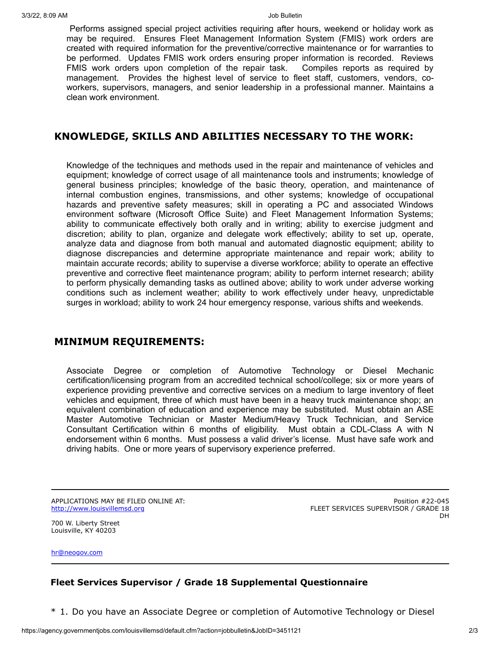Performs assigned special project activities requiring after hours, weekend or holiday work as may be required. Ensures Fleet Management Information System (FMIS) work orders are created with required information for the preventive/corrective maintenance or for warranties to be performed. Updates FMIS work orders ensuring proper information is recorded. Reviews FMIS work orders upon completion of the repair task. Compiles reports as required by management. Provides the highest level of service to fleet staff, customers, vendors, coworkers, supervisors, managers, and senior leadership in a professional manner. Maintains a clean work environment.

### **KNOWLEDGE, SKILLS AND ABILITIES NECESSARY TO THE WORK:**

Knowledge of the techniques and methods used in the repair and maintenance of vehicles and equipment; knowledge of correct usage of all maintenance tools and instruments; knowledge of general business principles; knowledge of the basic theory, operation, and maintenance of internal combustion engines, transmissions, and other systems; knowledge of occupational hazards and preventive safety measures; skill in operating a PC and associated Windows environment software (Microsoft Office Suite) and Fleet Management Information Systems; ability to communicate effectively both orally and in writing; ability to exercise judgment and discretion; ability to plan, organize and delegate work effectively; ability to set up, operate, analyze data and diagnose from both manual and automated diagnostic equipment; ability to diagnose discrepancies and determine appropriate maintenance and repair work; ability to maintain accurate records; ability to supervise a diverse workforce; ability to operate an effective preventive and corrective fleet maintenance program; ability to perform internet research; ability to perform physically demanding tasks as outlined above; ability to work under adverse working conditions such as inclement weather; ability to work effectively under heavy, unpredictable surges in workload; ability to work 24 hour emergency response, various shifts and weekends.

### **MINIMUM REQUIREMENTS:**

Associate Degree or completion of Automotive Technology or Diesel Mechanic certification/licensing program from an accredited technical school/college; six or more years of experience providing preventive and corrective services on a medium to large inventory of fleet vehicles and equipment, three of which must have been in a heavy truck maintenance shop; an equivalent combination of education and experience may be substituted. Must obtain an ASE Master Automotive Technician or Master Medium/Heavy Truck Technician, and Service Consultant Certification within 6 months of eligibility. Must obtain a CDL-Class A with N endorsement within 6 months. Must possess a valid driver's license. Must have safe work and driving habits. One or more years of supervisory experience preferred.

APPLICATIONS MAY BE FILED ONLINE AT: [http://www.louisvillemsd.org](http://www.louisvillemsd.org/)

Position #22-045 FLEET SERVICES SUPERVISOR / GRADE 18 **DH** 

700 W. Liberty Street Louisville, KY 40203

[hr@neogov.com](mailto:hr@neogov.com)

### **Fleet Services Supervisor / Grade 18 Supplemental Questionnaire**

\* 1. Do you have an Associate Degree or completion of Automotive Technology or Diesel